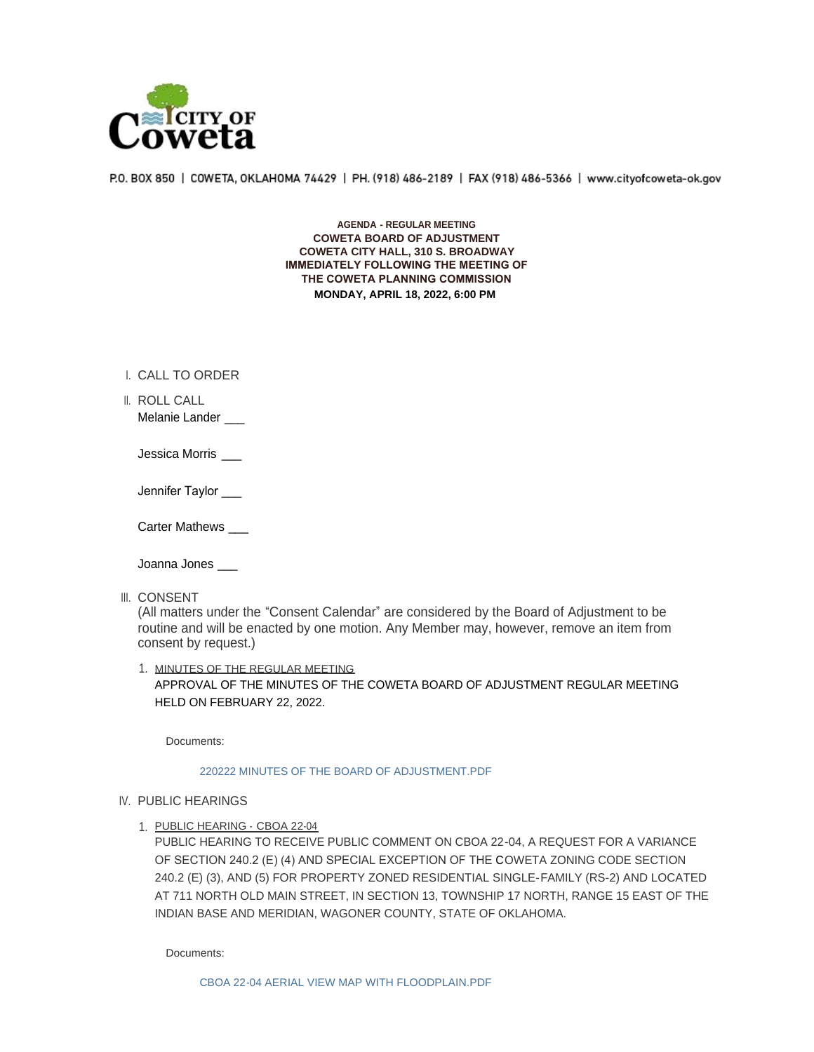

P.O. BOX 850 | COWETA, OKLAHOMA 74429 | PH. (918) 486-2189 | FAX (918) 486-5366 | www.cityofcoweta-ok.gov

**AGENDA - REGULAR MEETING COWETA BOARD OF ADJUSTMENT COWETA CITY HALL, 310 S. BROADWAY IMMEDIATELY FOLLOWING THE MEETING OF THE COWETA PLANNING COMMISSION MONDAY, APRIL 18, 2022, 6:00 PM**

- I. CALL TO ORDER
- ROLL CALL II. Melanie Lander
	- Jessica Morris \_\_\_
	- Jennifer Taylor

Carter Mathews \_\_\_

Joanna Jones \_\_\_

III. CONSENT

(All matters under the "Consent Calendar" are considered by the Board of Adjustment to be routine and will be enacted by one motion. Any Member may, however, remove an item from consent by request.)

1. MINUTES OF THE REGULAR MEETING APPROVAL OF THE MINUTES OF THE COWETA BOARD OF ADJUSTMENT REGULAR MEETING HELD ON FEBRUARY 22, 2022.

Documents:

## [220222 MINUTES OF THE BOARD OF ADJUSTMENT.PDF](http://www.cityofcoweta-ok.gov/AgendaCenter/ViewFile/Item/3380?fileID=3322)

## IV. PUBLIC HEARINGS

1. PUBLIC HEARING - CBOA 22-04

PUBLIC HEARING TO RECEIVE PUBLIC COMMENT ON CBOA 22-04, A REQUEST FOR A VARIANCE OF SECTION 240.2 (E) (4) AND SPECIAL EXCEPTION OF THE COWETA ZONING CODE SECTION 240.2 (E) (3), AND (5) FOR PROPERTY ZONED RESIDENTIAL SINGLE-FAMILY (RS-2) AND LOCATED AT 711 NORTH OLD MAIN STREET, IN SECTION 13, TOWNSHIP 17 NORTH, RANGE 15 EAST OF THE INDIAN BASE AND MERIDIAN, WAGONER COUNTY, STATE OF OKLAHOMA.

Documents: